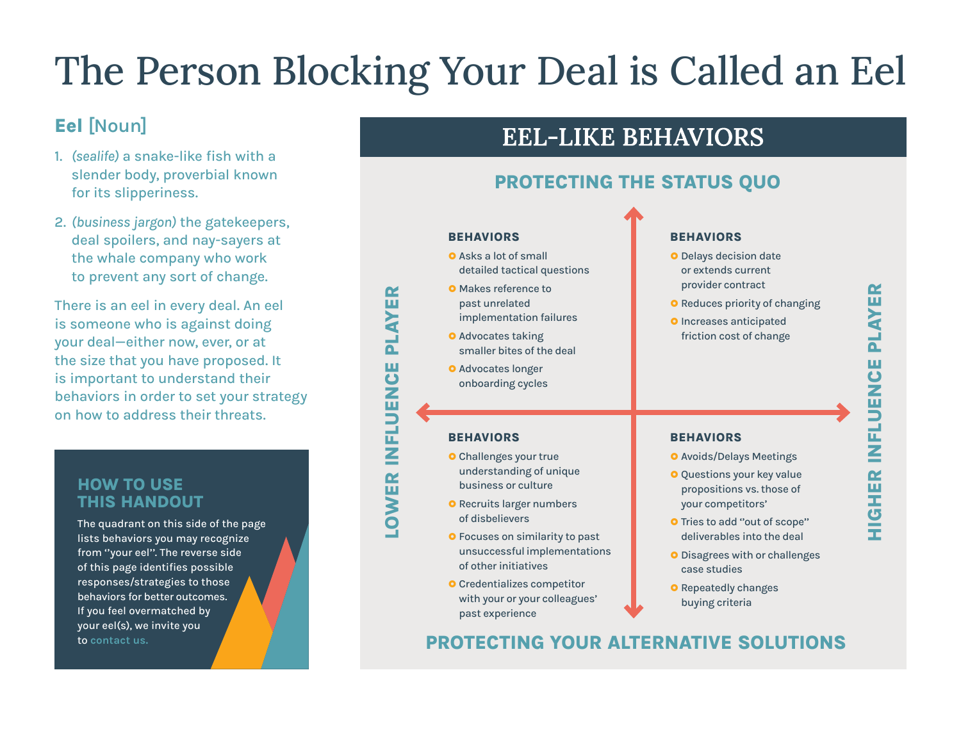# The Person Blocking Your Deal is Called an Eel

**LOWER INFLUENCE PLAYER**

LOWER INFLUENCE

**PLAYER** 

# **Eel [Noun]**

- 1. *(sealife)* a snake-like fish with a slender body, proverbial known for its slipperiness.
- 2. *(business jargon)* the gatekeepers, deal spoilers, and nay-sayers at the whale company who work to prevent any sort of change.

There is an eel in every deal. An eel is someone who is against doing your deal—either now, ever, or at the size that you have proposed. It is important to understand their behaviors in order to set your strategy on how to address their threats.

### **HOW TO USE THIS HANDOUT**

The quadrant on this side of the page lists behaviors you may recognize from ''your eel''. The reverse side of this page identifies possible responses/strategies to those behaviors for better outcomes. If you feel overmatched by your eel(s), we invite you to **[contact us.](https://www.huntbigsales.com/get-started/schedule-a-consultation/)**



# **EEL-LIKE BEHAVIORS**

# **PROTECTING THE STATUS QUO**

#### **BEHAVIORS Q** Asks a lot of small detailed tactical questions **O** Makes reference to past unrelated implementation failures **O** Advocates taking smaller bites of the deal **O** Advocates longer onboarding cycles **BEHAVIORS O** Challenges your true understanding of unique business or culture **O** Recruits larger numbers of disbelievers **O** Focuses on similarity to past unsuccessful implementations of other initiatives **O** Credentializes competitor with your or your colleagues' past experience **BEHAVIORS O** Delays decision date or extends current provider contract **O** Reduces priority of changing **O** Increases anticipated friction cost of change **BEHAVIORS O** Avoids/Delays Meetings **O** Questions your key value propositions vs. those of your competitors' **O** Tries to add "out of scope" deliverables into the deal **O** Disagrees with or challenges case studies **O** Repeatedly changes buying criteria

# **PROTECTING YOUR ALTERNATIVE SOLUTIONS**

**HIGHER INFLUENCE PLAYER HIGHER INFLUENCE PLAYER**